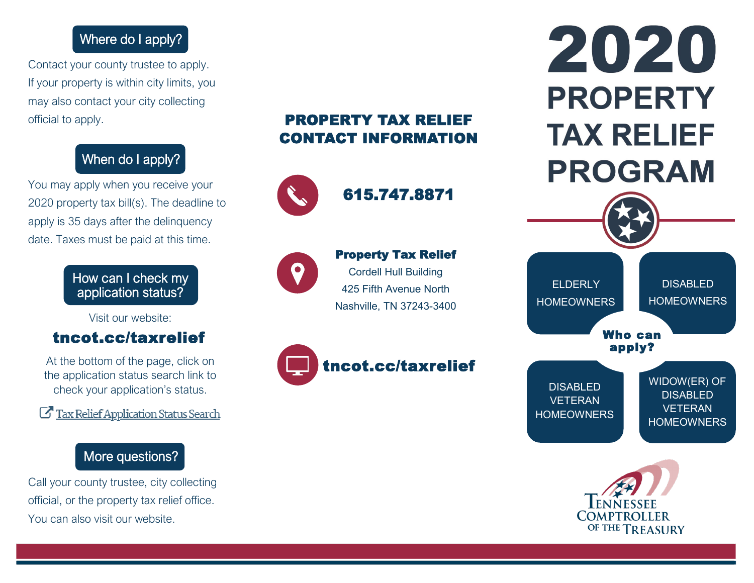## Where do I apply?

Contact your county trustee to apply. If your property is within city limits, you may also contact your city collecting official to apply.

# When do I apply?

You may apply when you receive your 2020 property tax bill(s). The deadline to apply is 35 days after the delinquency date. Taxes must be paid at this time.

### How can I check my application status?

Visit our website:

## tncot.cc/taxrelief

At the bottom of the page, click on the application status search link to check your application's status.

Tax Relief Application Status Search

# More questions?

Call your county trustee, city collecting official, or the property tax relief office. You can also visit our website.

# PROPERTY TAX RELIEF CONTACT INFORMATION



615.747.8871



#### Property Tax Relief Cordell Hull Building

425 Fifth Avenue North Nashville, TN 37243-3400



# tncot.cc/taxrelief

# 2020 **PROPERTY TAX RELIEF PROGRAM**